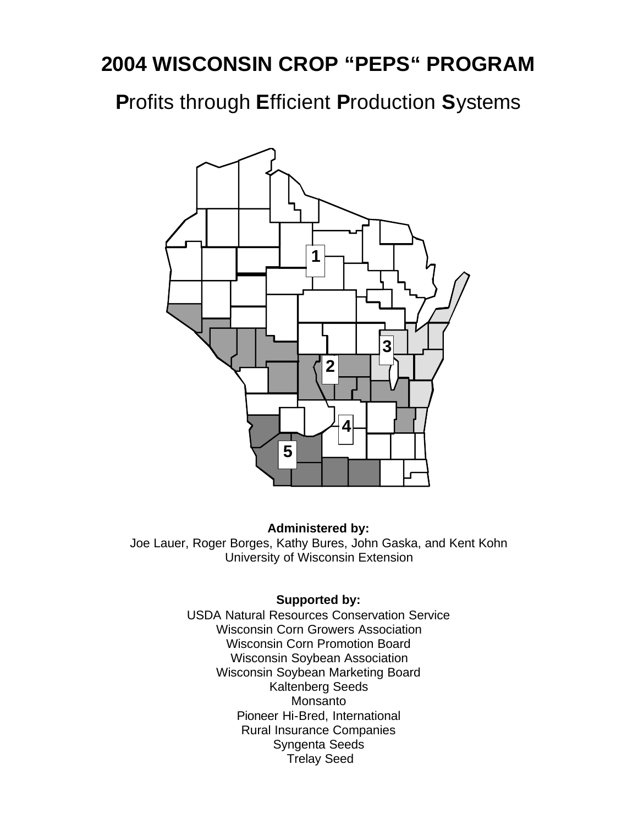**P**rofits through **E**fficient **P**roduction **S**ystems



#### **Administered by:**

Joe Lauer, Roger Borges, Kathy Bures, John Gaska, and Kent Kohn University of Wisconsin Extension

#### **Supported by:**

USDA Natural Resources Conservation Service Wisconsin Corn Growers Association Wisconsin Corn Promotion Board Wisconsin Soybean Association Wisconsin Soybean Marketing Board Kaltenberg Seeds Monsanto Pioneer Hi-Bred, International Rural Insurance Companies Syngenta Seeds Trelay Seed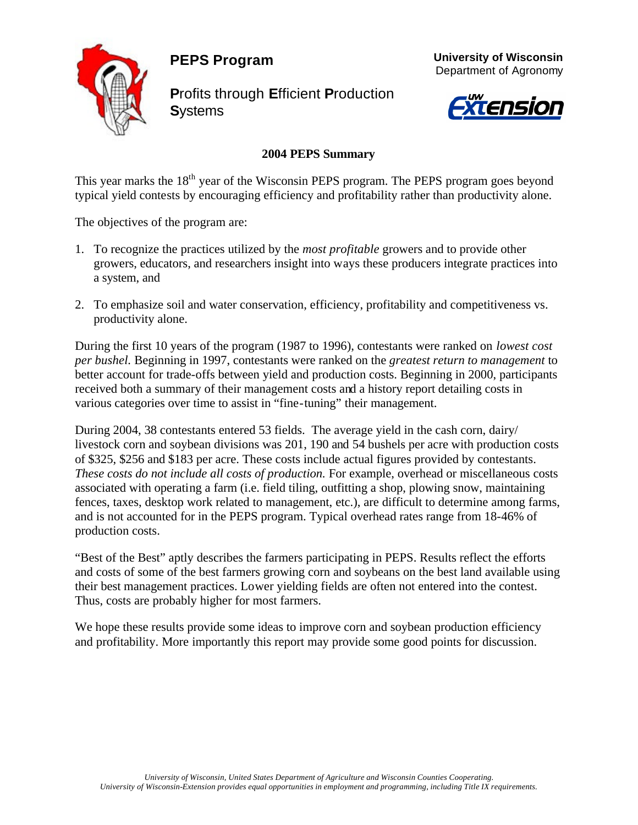**PEPS Program**



**P**rofits through **E**fficient **P**roduction **S**ystems





#### **2004 PEPS Summary**

This year marks the  $18<sup>th</sup>$  year of the Wisconsin PEPS program. The PEPS program goes beyond typical yield contests by encouraging efficiency and profitability rather than productivity alone.

The objectives of the program are:

- 1. To recognize the practices utilized by the *most profitable* growers and to provide other growers, educators, and researchers insight into ways these producers integrate practices into a system, and
- 2. To emphasize soil and water conservation, efficiency, profitability and competitiveness vs. productivity alone.

During the first 10 years of the program (1987 to 1996), contestants were ranked on *lowest cost per bushel.* Beginning in 1997, contestants were ranked on the *greatest return to management* to better account for trade-offs between yield and production costs. Beginning in 2000, participants received both a summary of their management costs and a history report detailing costs in various categories over time to assist in "fine-tuning" their management.

During 2004, 38 contestants entered 53 fields. The average yield in the cash corn, dairy/ livestock corn and soybean divisions was 201, 190 and 54 bushels per acre with production costs of \$325, \$256 and \$183 per acre. These costs include actual figures provided by contestants. *These costs do not include all costs of production.* For example, overhead or miscellaneous costs associated with operating a farm (i.e. field tiling, outfitting a shop, plowing snow, maintaining fences, taxes, desktop work related to management, etc.), are difficult to determine among farms, and is not accounted for in the PEPS program. Typical overhead rates range from 18-46% of production costs.

"Best of the Best" aptly describes the farmers participating in PEPS. Results reflect the efforts and costs of some of the best farmers growing corn and soybeans on the best land available using their best management practices. Lower yielding fields are often not entered into the contest. Thus, costs are probably higher for most farmers.

We hope these results provide some ideas to improve corn and soybean production efficiency and profitability. More importantly this report may provide some good points for discussion.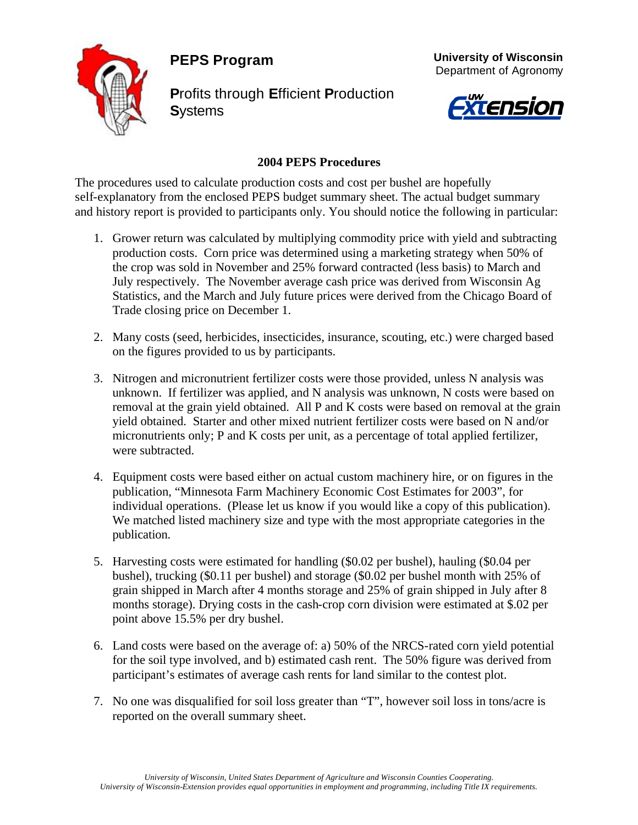**PEPS Program**



**P**rofits through **E**fficient **P**roduction **S**ystems





#### **2004 PEPS Procedures**

The procedures used to calculate production costs and cost per bushel are hopefully self-explanatory from the enclosed PEPS budget summary sheet. The actual budget summary and history report is provided to participants only. You should notice the following in particular:

- 1. Grower return was calculated by multiplying commodity price with yield and subtracting production costs. Corn price was determined using a marketing strategy when 50% of the crop was sold in November and 25% forward contracted (less basis) to March and July respectively. The November average cash price was derived from Wisconsin Ag Statistics, and the March and July future prices were derived from the Chicago Board of Trade closing price on December 1.
- 2. Many costs (seed, herbicides, insecticides, insurance, scouting, etc.) were charged based on the figures provided to us by participants.
- 3. Nitrogen and micronutrient fertilizer costs were those provided, unless N analysis was unknown. If fertilizer was applied, and N analysis was unknown, N costs were based on removal at the grain yield obtained. All P and K costs were based on removal at the grain yield obtained. Starter and other mixed nutrient fertilizer costs were based on N and/or micronutrients only; P and K costs per unit, as a percentage of total applied fertilizer, were subtracted.
- 4. Equipment costs were based either on actual custom machinery hire, or on figures in the publication, "Minnesota Farm Machinery Economic Cost Estimates for 2003", for individual operations. (Please let us know if you would like a copy of this publication). We matched listed machinery size and type with the most appropriate categories in the publication.
- 5. Harvesting costs were estimated for handling (\$0.02 per bushel), hauling (\$0.04 per bushel), trucking (\$0.11 per bushel) and storage (\$0.02 per bushel month with 25% of grain shipped in March after 4 months storage and 25% of grain shipped in July after 8 months storage). Drying costs in the cash-crop corn division were estimated at \$.02 per point above 15.5% per dry bushel.
- 6. Land costs were based on the average of: a) 50% of the NRCS-rated corn yield potential for the soil type involved, and b) estimated cash rent. The 50% figure was derived from participant's estimates of average cash rents for land similar to the contest plot.
- 7. No one was disqualified for soil loss greater than "T", however soil loss in tons/acre is reported on the overall summary sheet.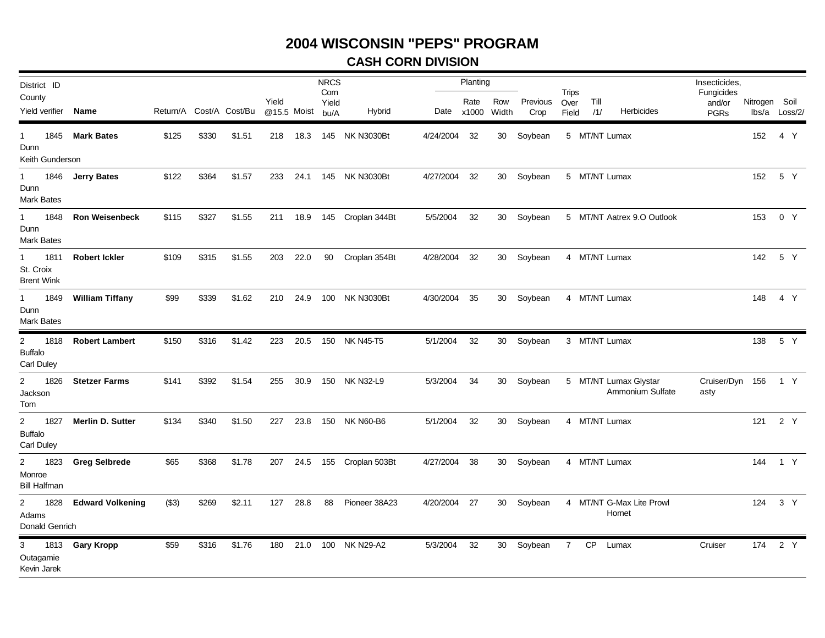### **CASH CORN DIVISION**

| District ID                                                |                         |                         |       |        |                      |          | <b>NRCS</b>           |                            |              | Planting |              |                  |                               |               |                                           | Insecticides,                       |               |               |
|------------------------------------------------------------|-------------------------|-------------------------|-------|--------|----------------------|----------|-----------------------|----------------------------|--------------|----------|--------------|------------------|-------------------------------|---------------|-------------------------------------------|-------------------------------------|---------------|---------------|
| County<br>Yield verifier                                   | Name                    | Return/A Cost/A Cost/Bu |       |        | Yield<br>@15.5 Moist |          | Corn<br>Yield<br>bu/A | Hybrid                     | Date x1000   | Rate     | Row<br>Width | Previous<br>Crop | <b>Trips</b><br>Over<br>Field | Till<br>/1/   | Herbicides                                | Fungicides<br>and/or<br><b>PGRs</b> | Nitrogen Soil | lbs/a Loss/2/ |
| 1845<br>$1 \quad$<br>Dunn<br>Keith Gunderson               | <b>Mark Bates</b>       | \$125                   | \$330 | \$1.51 | 218                  | 18.3     |                       | 145 NK N3030Bt             | 4/24/2004    | 32       | 30           | Soybean          |                               | 5 MT/NT Lumax |                                           |                                     | 152           | 4 Y           |
| 1<br>1846<br>Dunn<br><b>Mark Bates</b>                     | <b>Jerry Bates</b>      | \$122                   | \$364 | \$1.57 | 233                  | 24.1     |                       | 145 NK N3030Bt             | 4/27/2004    | 32       |              | 30 Soybean       |                               | 5 MT/NT Lumax |                                           |                                     |               | 152 5 Y       |
| 1<br>1848<br>Dunn<br><b>Mark Bates</b>                     | <b>Ron Weisenbeck</b>   | \$115                   | \$327 | \$1.55 |                      |          |                       | 211 18.9 145 Croplan 344Bt | 5/5/2004     | 32       |              | 30 Soybean       |                               |               | 5 MT/NT Aatrex 9.O Outlook                |                                     | 153           | 0 Y           |
| 1811<br>$\mathbf{1}$<br>St. Croix<br><b>Brent Wink</b>     | <b>Robert Ickler</b>    | \$109                   | \$315 | \$1.55 | 203                  | 22.0     | 90                    | Croplan 354Bt              | 4/28/2004    | 32       |              | 30 Soybean       |                               | 4 MT/NT Lumax |                                           |                                     |               | 142 5 Y       |
| 1849<br>$\mathbf{1}$<br>Dunn<br>Mark Bates                 | <b>William Tiffany</b>  | \$99                    | \$339 | \$1.62 |                      | 210 24.9 | 100                   | <b>NK N3030Bt</b>          | 4/30/2004    | 35       |              | 30 Soybean       |                               | 4 MT/NT Lumax |                                           |                                     |               | 148  4  Y     |
| $2^{\circ}$<br>1818<br><b>Buffalo</b><br><b>Carl Duley</b> | <b>Robert Lambert</b>   | \$150                   | \$316 | \$1.42 | 223                  | 20.5     | 150                   | <b>NK N45-T5</b>           | 5/1/2004     | 32       |              | 30 Soybean       |                               | 3 MT/NT Lumax |                                           |                                     |               | 138 5 Y       |
| $\overline{a}$<br>1826<br>Jackson<br>Tom                   | <b>Stetzer Farms</b>    | \$141                   | \$392 | \$1.54 |                      | 255 30.9 | 150                   | <b>NK N32-L9</b>           | 5/3/2004     | 34       |              | 30 Soybean       |                               |               | 5 MT/NT Lumax Glystar<br>Ammonium Sulfate | Cruiser/Dyn 156 1 Y<br>asty         |               |               |
| $2^{\circ}$<br>1827<br><b>Buffalo</b><br><b>Carl Duley</b> | <b>Merlin D. Sutter</b> | \$134                   | \$340 | \$1.50 |                      | 227 23.8 | 150                   | NK N60-B6                  | 5/1/2004     | 32       |              | 30 Soybean       |                               | 4 MT/NT Lumax |                                           |                                     |               | 121 2 Y       |
| $2^{\circ}$<br>1823<br>Monroe<br><b>Bill Halfman</b>       | <b>Greg Selbrede</b>    | \$65                    | \$368 | \$1.78 |                      |          |                       | 207 24.5 155 Croplan 503Bt | 4/27/2004 38 |          |              | 30 Soybean       |                               | 4 MT/NT Lumax |                                           |                                     |               | 144 1 Y       |
| $\overline{2}$<br>1828<br>Adams<br>Donald Genrich          | <b>Edward Volkening</b> | (S3)                    | \$269 | \$2.11 |                      | 127 28.8 | 88                    | Pioneer 38A23              | 4/20/2004 27 |          |              | 30 Soybean       |                               |               | 4 MT/NT G-Max Lite Prowl<br>Hornet        |                                     |               | 124 3 Y       |
| 3 1813<br>Outagamie<br>Kevin Jarek                         | <b>Gary Kropp</b>       | \$59                    | \$316 | \$1.76 | 180                  | 21.0     | 100                   | <b>NK N29-A2</b>           | 5/3/2004     | 32       |              | 30 Soybean       | 7                             |               | CP Lumax                                  | Cruiser                             |               | 174 2 Y       |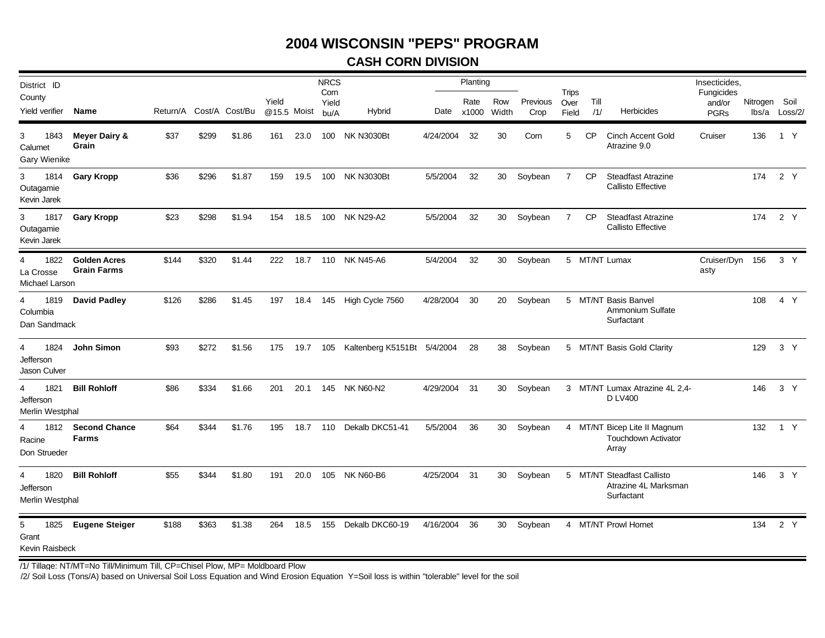### **CASH CORN DIVISION**

| District ID<br>County                     |                                           |                         |       |        | Yield       |          | <b>NRCS</b><br>Corn<br>Yield |                                             |              | Planting<br>Rate | Row   | Previous   | <b>Trips</b><br>Over | Till      |                                                                     | Insecticides,<br>Fungicides<br>and/or | Nitrogen Soil |               |
|-------------------------------------------|-------------------------------------------|-------------------------|-------|--------|-------------|----------|------------------------------|---------------------------------------------|--------------|------------------|-------|------------|----------------------|-----------|---------------------------------------------------------------------|---------------------------------------|---------------|---------------|
| Yield verifier                            | Name                                      | Return/A Cost/A Cost/Bu |       |        | @15.5 Moist |          | bu/A                         | <b>Hybrid</b>                               |              | Date x1000       | Width | Crop       | Field                | /1/       | <b>Herbicides</b>                                                   | <b>PGRs</b>                           |               | lbs/a Loss/2/ |
| 3<br>1843<br>Calumet<br>Gary Wienike      | Meyer Dairy &<br>Grain                    | \$37                    | \$299 | \$1.86 | 161         | 23.0     |                              | 100 NK N3030Bt                              | 4/24/2004    | 32               | 30    | Corn       | 5                    | <b>CP</b> | <b>Cinch Accent Gold</b><br>Atrazine 9.0                            | Cruiser                               | 136           | 1 Y           |
| 3<br>1814<br>Outagamie<br>Kevin Jarek     | <b>Gary Kropp</b>                         | \$36                    | \$296 | \$1.87 | 159         |          |                              | 19.5 100 NK N3030Bt                         | 5/5/2004     | 32               |       | 30 Soybean | $\overline{7}$       | <b>CP</b> | <b>Steadfast Atrazine</b><br><b>Callisto Effective</b>              |                                       |               | 174 2 Y       |
| 3<br>1817<br>Outagamie<br>Kevin Jarek     | <b>Gary Kropp</b>                         | \$23                    | \$298 | \$1.94 | 154         | 18.5     |                              | 100 NK N29-A2                               | 5/5/2004     | 32               | 30    | Soybean    | 7                    | CP        | <b>Steadfast Atrazine</b><br><b>Callisto Effective</b>              |                                       | 174           | 2 Y           |
| 1822<br>4<br>La Crosse<br>Michael Larson  | <b>Golden Acres</b><br><b>Grain Farms</b> | \$144                   | \$320 | \$1.44 | 222         | 18.7     |                              | 110 NK N45-A6                               | 5/4/2004     | 32               | 30    | Soybean    |                      |           | 5 MT/NT Lumax                                                       | Cruiser/Dyn 156<br>asty               |               | 3 Y           |
| 1819<br>4<br>Columbia<br>Dan Sandmack     | <b>David Padley</b>                       | \$126                   | \$286 | \$1.45 | 197         | 18.4     |                              | 145 High Cycle 7560                         | 4/28/2004    | 30               |       | 20 Soybean |                      |           | 5 MT/NT Basis Banvel<br><b>Ammonium Sulfate</b><br>Surfactant       |                                       | 108           | 4 Y           |
| 1824<br>4<br>Jefferson<br>Jason Culver    | John Simon                                | \$93                    | \$272 | \$1.56 |             |          |                              | 175 19.7 105 Kaltenberg K5151Bt 5/4/2004 28 |              |                  | 38    | Soybean    |                      |           | 5 MT/NT Basis Gold Clarity                                          |                                       | 129           | 3 Y           |
| 1821<br>4<br>Jefferson<br>Merlin Westphal | <b>Bill Rohloff</b>                       | \$86                    | \$334 | \$1.66 | 201         | 20.1     |                              | 145 NK N60-N2                               | 4/29/2004    | - 31             | 30    | Soybean    |                      |           | 3 MT/NT Lumax Atrazine 4L 2,4-<br><b>D LV400</b>                    |                                       | 146           | 3 Y           |
| 4<br>Racine<br>Don Strueder               | 1812 Second Chance<br><b>Farms</b>        | \$64                    | \$344 | \$1.76 | 195         | 18.7 110 |                              | Dekalb DKC51-41                             | 5/5/2004     | 36               | 30    | Soybean    |                      |           | 4 MT/NT Bicep Lite II Magnum<br><b>Touchdown Activator</b><br>Array |                                       | 132           | 1 Y           |
| 1820<br>4<br>Jefferson<br>Merlin Westphal | <b>Bill Rohloff</b>                       | \$55                    | \$344 | \$1.80 | 191         | 20.0     |                              | 105 NK N60-B6                               | 4/25/2004 31 |                  |       | 30 Soybean |                      |           | 5 MT/NT Steadfast Callisto<br>Atrazine 4L Marksman<br>Surfactant    |                                       | 146           | 3 Y           |
| 1825<br>5<br>Grant<br>Kevin Raisbeck      | <b>Eugene Steiger</b>                     | \$188                   | \$363 | \$1.38 | 264         | 18.5     |                              | 155 Dekalb DKC60-19                         | 4/16/2004    | -36              |       | 30 Soybean |                      |           | 4 MT/NT Prowl Hornet                                                |                                       |               | 134 2 Y       |

/1/ Tillage: NT/MT=No Till/Minimum Till, CP=Chisel Plow, MP= Moldboard Plow

/2/ Soil Loss (Tons/A) based on Universal Soil Loss Equation and Wind Erosion Equation Y=Soil loss is within "tolerable" level for the soil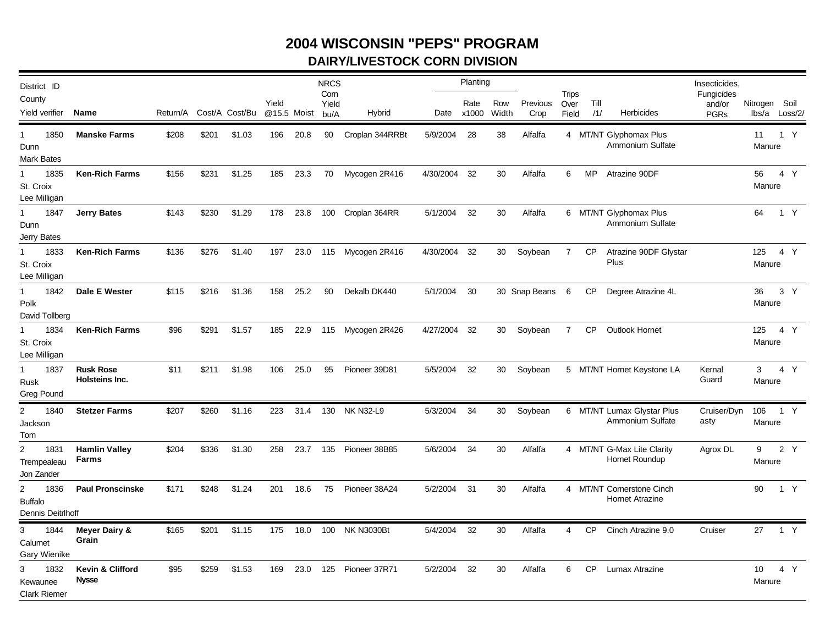## **2004 WISCONSIN "PEPS" PROGRAM DAIRY/LIVESTOCK CORN DIVISION**

| District ID<br>County<br>Yield verifier                                | Name                               | Return/A |       | Cost/A Cost/Bu | Yield              |      | <b>NRCS</b><br>Corn<br>Yield | Hybrid            |                        | Planting<br>Rate | Row<br>Width | Previous        | Trips<br>Over  | Till | <b>Herbicides</b>                                   | Insecticides,<br>Fungicides<br>and/or | Nitrogen Soil                 |       |  |
|------------------------------------------------------------------------|------------------------------------|----------|-------|----------------|--------------------|------|------------------------------|-------------------|------------------------|------------------|--------------|-----------------|----------------|------|-----------------------------------------------------|---------------------------------------|-------------------------------|-------|--|
| $\mathbf{1}$<br>1850<br>Dunn                                           | <b>Manske Farms</b>                | \$208    | \$201 | \$1.03         | @15.5 Moist<br>196 | 20.8 | bu/A<br>90                   | Croplan 344RRBt   | Date x1000<br>5/9/2004 | 28               | 38           | Crop<br>Alfalfa | Field          | /1/  | 4 MT/NT Glyphomax Plus<br>Ammonium Sulfate          | <b>PGRs</b>                           | lbs/a Loss/2/<br>11<br>Manure | 1 Y   |  |
| <b>Mark Bates</b><br>1835<br>$\mathbf{1}$<br>St. Croix<br>Lee Milligan | <b>Ken-Rich Farms</b>              | \$156    | \$231 | \$1.25         | 185                | 23.3 | 70                           | Mycogen 2R416     | 4/30/2004 32           |                  | 30           | Alfalfa         | 6              | MP.  | Atrazine 90DF                                       |                                       | 56<br>Manure                  | 4 Y   |  |
| 1<br>1847<br>Dunn<br>Jerry Bates                                       | <b>Jerry Bates</b>                 | \$143    | \$230 | \$1.29         | 178                | 23.8 | 100                          | Croplan 364RR     | 5/1/2004               | 32               | 30           | Alfalfa         |                |      | 6 MT/NT Glyphomax Plus<br>Ammonium Sulfate          |                                       | 64                            | 1 Y   |  |
| $\mathbf{1}$<br>1833<br>St. Croix<br>Lee Milligan                      | <b>Ken-Rich Farms</b>              | \$136    | \$276 | \$1.40         | 197                | 23.0 |                              | 115 Mycogen 2R416 | 4/30/2004 32           |                  | 30           | Soybean         | $\overline{7}$ | CP   | Atrazine 90DF Glystar<br>Plus                       |                                       | 125 4 Y<br>Manure             |       |  |
| $\mathbf{1}$<br>1842<br>Polk<br>David Tollberg                         | Dale E Wester                      | \$115    | \$216 | \$1.36         | 158                | 25.2 | 90                           | Dekalb DK440      | 5/1/2004               | 30               |              | 30 Snap Beans 6 |                |      | CP Degree Atrazine 4L                               |                                       | 36<br>Manure                  | 3 Y   |  |
| $\mathbf{1}$<br>1834<br>St. Croix<br>Lee Milligan                      | <b>Ken-Rich Farms</b>              | \$96     | \$291 | \$1.57         | 185                | 22.9 |                              | 115 Mycogen 2R426 | 4/27/2004              | -32              | 30           | Soybean         | $\overline{7}$ | CP   | Outlook Hornet                                      |                                       | 125<br>Manure                 | 4 Y   |  |
| $\mathbf{1}$<br>1837<br>Rusk<br><b>Greg Pound</b>                      | <b>Rusk Rose</b><br>Holsteins Inc. | \$11     | \$211 | \$1.98         | 106                | 25.0 | 95                           | Pioneer 39D81     | 5/5/2004               | 32               | 30           | Soybean         |                |      | 5 MT/NT Hornet Keystone LA                          | Kernal<br>Guard                       | $3^{\circ}$<br>Manure         | 4 Y   |  |
| $\overline{2}$<br>1840<br>Jackson<br>Tom                               | <b>Stetzer Farms</b>               | \$207    | \$260 | \$1.16         | 223                | 31.4 | 130                          | <b>NK N32-L9</b>  | 5/3/2004               | 34               | 30           | Soybean         |                |      | 6 MT/NT Lumax Glystar Plus<br>Ammonium Sulfate      | Cruiser/Dyn<br>asty                   | 106<br>Manure                 | 1 Y   |  |
| $\overline{2}$<br>1831<br>Trempealeau<br>Jon Zander                    | <b>Hamlin Valley</b><br>Farms      | \$204    | \$336 | \$1.30         | 258                | 23.7 | 135                          | Pioneer 38B85     | 5/6/2004               | 34               | 30           | Alfalfa         |                |      | 4 MT/NT G-Max Lite Clarity<br>Hornet Roundup        | Agrox DL                              | Manure                        | 9 2 Y |  |
| $\overline{2}$<br>1836<br><b>Buffalo</b><br>Dennis Deitrlhoff          | <b>Paul Pronscinske</b>            | \$171    | \$248 | \$1.24         | 201                | 18.6 | 75                           | Pioneer 38A24     | 5/2/2004               | -31              | 30           | Alfalfa         |                |      | 4 MT/NT Cornerstone Cinch<br><b>Hornet Atrazine</b> |                                       | 90                            | 1 Y   |  |
| 1844<br>3<br>Calumet<br><b>Gary Wienike</b>                            | <b>Meyer Dairy &amp;</b><br>Grain  | \$165    | \$201 | \$1.15         | 175                | 18.0 | 100                          | <b>NK N3030Bt</b> | 5/4/2004               | 32               | 30           | Alfalfa         | $\overline{4}$ | CP   | Cinch Atrazine 9.0                                  | Cruiser                               | 27                            | 1 Y   |  |
| 3<br>1832<br>Kewaunee<br><b>Clark Riemer</b>                           | Kevin & Clifford<br><b>Nysse</b>   | \$95     | \$259 | \$1.53         | 169                | 23.0 | 125                          | Pioneer 37R71     | 5/2/2004               | 32               | 30           | Alfalfa         | 6              | CP   | Lumax Atrazine                                      |                                       | 10<br>Manure                  | 4 Y   |  |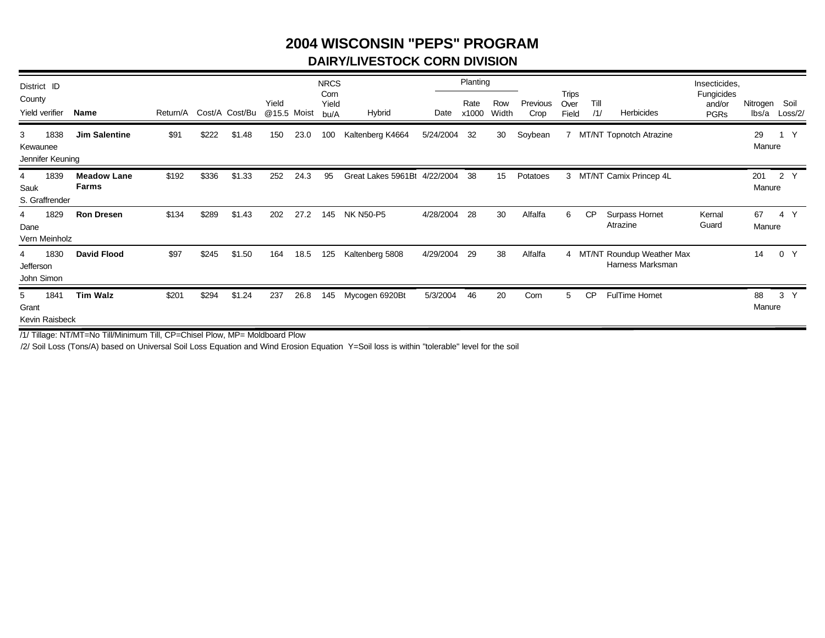### **2004 WISCONSIN "PEPS" PROGRAM DAIRY/LIVESTOCK CORN DIVISION**

| District ID<br>County<br>Yield verifier |      | Name                               | Return/A |       | Cost/A Cost/Bu | Yield<br>@15.5 Moist |      | <b>NRCS</b><br>Corn<br>Yield<br>bu/A | Hybrid             | Date      | Planting<br>Rate<br>x1000 | Row<br>Width | Previous<br>Crop | <b>Trips</b><br>Over<br>Field | Till<br>/1/ | Herbicides                                      | Insecticides,<br>Fungicides<br>and/or<br><b>PGRs</b> | Nitrogen<br>lbs/a | Soil<br>Loss/2/ |
|-----------------------------------------|------|------------------------------------|----------|-------|----------------|----------------------|------|--------------------------------------|--------------------|-----------|---------------------------|--------------|------------------|-------------------------------|-------------|-------------------------------------------------|------------------------------------------------------|-------------------|-----------------|
| 3<br>Kewaunee<br>Jennifer Keuning       | 1838 | <b>Jim Salentine</b>               | \$91     | \$222 | \$1.48         | 150                  | 23.0 | 100                                  | Kaltenberg K4664   | 5/24/2004 | 32                        | 30           | Soybean          | $\overline{7}$                |             | MT/NT Topnotch Atrazine                         |                                                      | 29<br>Manure      | $\mathsf{Y}$    |
| 4<br>Sauk<br>S. Graffrender             | 1839 | <b>Meadow Lane</b><br><b>Farms</b> | \$192    | \$336 | \$1.33         | 252                  | 24.3 | 95                                   | Great Lakes 5961Bt | 4/22/2004 | 38                        | 15           | Potatoes         | 3                             |             | MT/NT Camix Princep 4L                          |                                                      | 201<br>Manure     | 2 Y             |
| 4<br>Dane<br>Vern Meinholz              | 1829 | <b>Ron Dresen</b>                  | \$134    | \$289 | \$1.43         | 202                  | 27.2 | 145                                  | <b>NK N50-P5</b>   | 4/28/2004 | 28                        | 30           | Alfalfa          | 6                             | <b>CP</b>   | Surpass Hornet<br>Atrazine                      | Kernal<br>Guard                                      | 67<br>Manure      | 4 Y             |
| 4<br>Jefferson<br>John Simon            | 1830 | <b>David Flood</b>                 | \$97     | \$245 | \$1.50         | 164                  | 18.5 | 125                                  | Kaltenberg 5808    | 4/29/2004 | 29                        | 38           | Alfalfa          |                               |             | 4 MT/NT Roundup Weather Max<br>Harness Marksman |                                                      | 14                | 0 Y             |
| 5<br>Grant<br>Kevin Raisbeck            | 1841 | <b>Tim Walz</b>                    | \$201    | \$294 | \$1.24         | 237                  | 26.8 | 145                                  | Mycogen 6920Bt     | 5/3/2004  | 46                        | 20           | Corn             | 5                             | <b>CP</b>   | <b>FulTime Hornet</b>                           |                                                      | 88<br>Manure      | 3 <sup>7</sup>  |

/1/ Tillage: NT/MT=No Till/Minimum Till, CP=Chisel Plow, MP= Moldboard Plow

/2/ Soil Loss (Tons/A) based on Universal Soil Loss Equation and Wind Erosion Equation Y=Soil loss is within "tolerable" level for the soil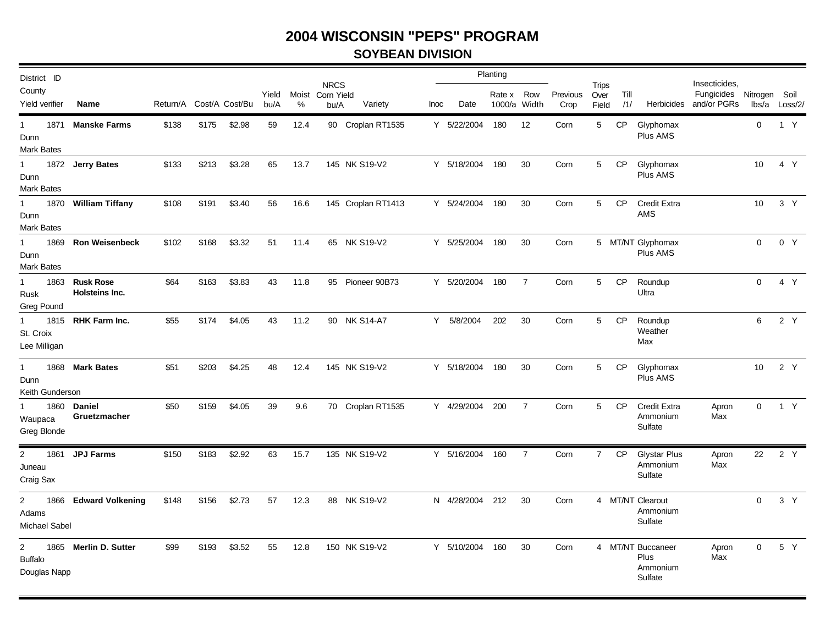#### **SOYBEAN DIVISION**

| District ID                                      |                                  |                         |       |        |               |            |                                   |                    |             |                 | Planting                   |                |                  |                               |             |                                                  |                                                       |                        |         |
|--------------------------------------------------|----------------------------------|-------------------------|-------|--------|---------------|------------|-----------------------------------|--------------------|-------------|-----------------|----------------------------|----------------|------------------|-------------------------------|-------------|--------------------------------------------------|-------------------------------------------------------|------------------------|---------|
| County<br>Yield verifier                         | Name                             | Return/A Cost/A Cost/Bu |       |        | Yield<br>bu/A | Moist<br>% | <b>NRCS</b><br>Corn Yield<br>bu/A | Variety            | <b>Inoc</b> | Date            | Rate x Row<br>1000/a Width |                | Previous<br>Crop | <b>Trips</b><br>Over<br>Field | Till<br>/1/ |                                                  | Insecticides,<br>Fungicides<br>Herbicides and/or PGRs | Nitrogen Soil<br>lbs/a | Loss/2/ |
| 1871<br>$\mathbf 1$<br>Dunn<br>Mark Bates        | <b>Manske Farms</b>              | \$138                   | \$175 | \$2.98 | 59            | 12.4       |                                   | 90 Croplan RT1535  |             | Y 5/22/2004     | 180                        | 12             | Corn             | 5                             | <b>CP</b>   | Glyphomax<br>Plus AMS                            |                                                       | $\mathbf 0$            | 1 Y     |
| $\mathbf{1}$<br>Dunn<br><b>Mark Bates</b>        | 1872 Jerry Bates                 | \$133                   | \$213 | \$3.28 | 65            | 13.7       |                                   | 145 NK S19-V2      |             | Y 5/18/2004     | 180                        | 30             | Corn             | 5                             | <b>CP</b>   | Glyphomax<br>Plus AMS                            |                                                       | 10                     | 4 Y     |
| 1<br>1870<br>Dunn<br><b>Mark Bates</b>           | <b>William Tiffany</b>           | \$108                   | \$191 | \$3.40 | 56            | 16.6       |                                   | 145 Croplan RT1413 |             | Y 5/24/2004     | 180                        | 30             | Corn             | 5                             | <b>CP</b>   | <b>Credit Extra</b><br>AMS                       |                                                       | 10                     | 3 Y     |
| 1869<br>1<br>Dunn<br>Mark Bates                  | <b>Ron Weisenbeck</b>            | \$102                   | \$168 | \$3.32 | 51            | 11.4       |                                   | 65 NK S19-V2       |             | Y 5/25/2004     | 180                        | 30             | Corn             |                               |             | 5 MT/NT Glyphomax<br>Plus AMS                    |                                                       | $\mathbf 0$            | 0 Y     |
| $\mathbf{1}$<br>Rusk<br>Greg Pound               | 1863 Rusk Rose<br>Holsteins Inc. | \$64                    | \$163 | \$3.83 | 43            | 11.8       |                                   | 95 Pioneer 90B73   |             | Y 5/20/2004     | 180                        | $\overline{7}$ | Corn             | 5                             | <b>CP</b>   | Roundup<br>Ultra                                 |                                                       | $\mathbf{0}$           | 4 Y     |
| $\mathbf{1}$<br>St. Croix<br>Lee Milligan        | 1815 RHK Farm Inc.               | \$55                    | \$174 | \$4.05 | 43            | 11.2       |                                   | 90 NK S14-A7       |             | Y 5/8/2004      | 202                        | 30             | Corn             | 5                             | <b>CP</b>   | Roundup<br>Weather<br>Max                        |                                                       | 6                      | 2 Y     |
| $\mathbf{1}$<br>Dunn<br>Keith Gunderson          | 1868 Mark Bates                  | \$51                    | \$203 | \$4.25 | 48            | 12.4       |                                   | 145 NK S19-V2      |             | Y 5/18/2004     | 180                        | 30             | Corn             | 5                             | <b>CP</b>   | Glyphomax<br>Plus AMS                            |                                                       | 10                     | 2 Y     |
| $\mathbf{1}$<br>Waupaca<br>Greg Blonde           | 1860 Daniel<br>Gruetzmacher      | \$50                    | \$159 | \$4.05 | 39            | 9.6        |                                   | 70 Croplan RT1535  |             | Y 4/29/2004     | 200                        | $\overline{7}$ | Corn             | 5                             | CP          | <b>Credit Extra</b><br>Ammonium<br>Sulfate       | Apron<br>Max                                          | $\Omega$               | 1 Y     |
| $\overline{2}$<br>1861<br>Juneau<br>Craig Sax    | <b>JPJ Farms</b>                 | \$150                   | \$183 | \$2.92 | 63            | 15.7       |                                   | 135 NK S19-V2      |             | Y 5/16/2004     | 160                        | $\overline{7}$ | Corn             | $\overline{7}$                | <b>CP</b>   | <b>Glystar Plus</b><br>Ammonium<br>Sulfate       | Apron<br>Max                                          | 22                     | 2 Y     |
| $\overline{2}$<br>1866<br>Adams<br>Michael Sabel | <b>Edward Volkening</b>          | \$148                   | \$156 | \$2.73 | 57            | 12.3       |                                   | 88 NK S19-V2       |             | N 4/28/2004 212 |                            | 30             | Corn             |                               |             | 4 MT/NT Clearout<br>Ammonium<br>Sulfate          |                                                       | $\Omega$               | 3 Y     |
| $\overline{2}$<br><b>Buffalo</b><br>Douglas Napp | 1865 Merlin D. Sutter            | \$99                    | \$193 | \$3.52 | 55            | 12.8       |                                   | 150 NK S19-V2      |             | Y 5/10/2004     | 160                        | 30             | Corn             |                               |             | 4 MT/NT Buccaneer<br>Plus<br>Ammonium<br>Sulfate | Apron<br>Max                                          | $\mathbf 0$            | 5 Y     |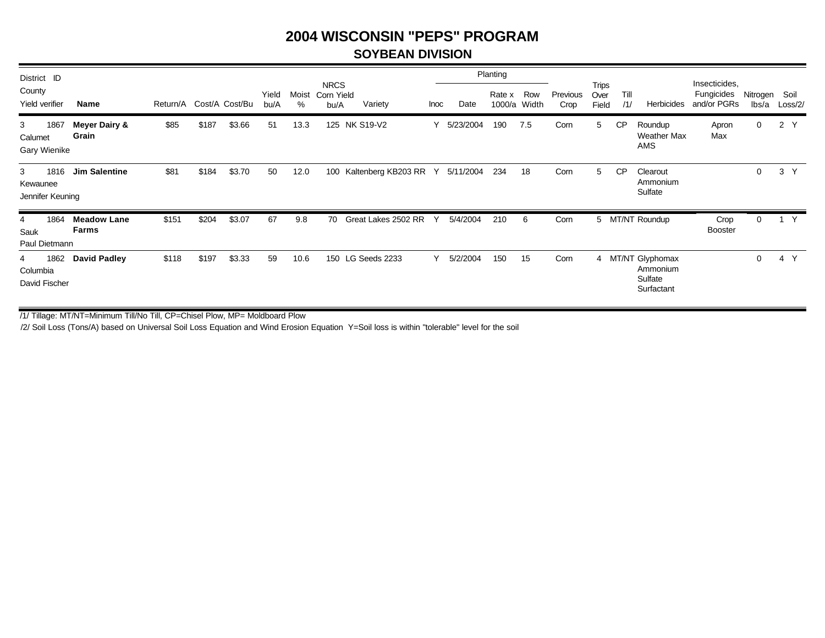#### **SOYBEAN DIVISION**

| District ID                               |                             |                         |       |        |               |            |                                   |                     |      |           | Planting         |              |                  |                        |             |                                                        |                                            |                   |                 |
|-------------------------------------------|-----------------------------|-------------------------|-------|--------|---------------|------------|-----------------------------------|---------------------|------|-----------|------------------|--------------|------------------|------------------------|-------------|--------------------------------------------------------|--------------------------------------------|-------------------|-----------------|
| County<br>Yield verifier                  | Name                        | Return/A Cost/A Cost/Bu |       |        | Yield<br>bu/A | Moist<br>% | <b>NRCS</b><br>Corn Yield<br>bu/A | Variety             | Inoc | Date      | Rate x<br>1000/a | Row<br>Width | Previous<br>Crop | Trips<br>Over<br>Field | Till<br>/1/ | Herbicides                                             | Insecticides,<br>Fungicides<br>and/or PGRs | Nitrogen<br>lbs/a | Soil<br>Loss/2/ |
| 3<br>1867<br>Calumet<br>Gary Wienike      | Meyer Dairy &<br>Grain      | \$85                    | \$187 | \$3.66 | 51            | 13.3       | 125                               | <b>NK S19-V2</b>    |      | 5/23/2004 | 190              | 7.5          | Corn             | 5                      | CP          | Roundup<br><b>Weather Max</b><br><b>AMS</b>            | Apron<br>Max                               | 0                 | 2Y              |
| 3<br>1816<br>Kewaunee<br>Jennifer Keuning | <b>Jim Salentine</b>        | \$81                    | \$184 | \$3.70 | 50            | 12.0       | 100                               | Kaltenberg KB203 RR | Y    | 5/11/2004 | 234              | 18           | Corn             | 5                      | <b>CP</b>   | Clearout<br>Ammonium<br>Sulfate                        |                                            | $\mathbf 0$       | 3 <sup>7</sup>  |
| 1864<br>4<br>Sauk<br>Paul Dietmann        | <b>Meadow Lane</b><br>Farms | \$151                   | \$204 | \$3.07 | 67            | 9.8        | 70                                | Great Lakes 2502 RR | Υ    | 5/4/2004  | 210              | 6            | Corn             |                        |             | 5 MT/NT Roundup                                        | Crop<br><b>Booster</b>                     | $\mathbf 0$       | Y               |
| 1862<br>4<br>Columbia<br>David Fischer    | <b>David Padley</b>         | \$118                   | \$197 | \$3.33 | 59            | 10.6       |                                   | 150 LG Seeds 2233   | ٧    | 5/2/2004  | 150              | 15           | Corn             |                        |             | 4 MT/NT Glyphomax<br>Ammonium<br>Sulfate<br>Surfactant |                                            | $\Omega$          | 4 Y             |

/1/ Tillage: MT/NT=Minimum Till/No Till, CP=Chisel Plow, MP= Moldboard Plow

/2/ Soil Loss (Tons/A) based on Universal Soil Loss Equation and Wind Erosion Equation Y=Soil loss is within "tolerable" level for the soil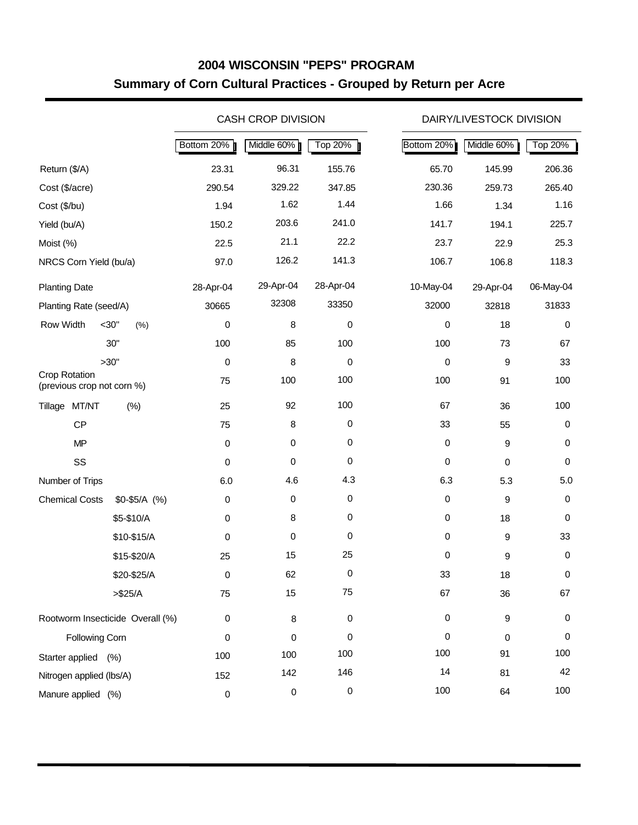## **2004 WISCONSIN "PEPS" PROGRAM Summary of Corn Cultural Practices - Grouped by Return per Acre**

|                                                    |                 |             | <b>CASH CROP DIVISION</b> |                |             | DAIRY/LIVESTOCK DIVISION |           |
|----------------------------------------------------|-----------------|-------------|---------------------------|----------------|-------------|--------------------------|-----------|
|                                                    |                 | Bottom 20%  | Middle 60%                | <b>Top 20%</b> | Bottom 20%  | Middle 60%               | Top 20%   |
| Return (\$/A)                                      |                 | 23.31       | 96.31                     | 155.76         | 65.70       | 145.99                   | 206.36    |
| Cost (\$/acre)                                     |                 | 290.54      | 329.22                    | 347.85         | 230.36      | 259.73                   | 265.40    |
| Cost (\$/bu)                                       |                 | 1.94        | 1.62                      | 1.44           | 1.66        | 1.34                     | 1.16      |
| Yield (bu/A)                                       |                 | 150.2       | 203.6                     | 241.0          | 141.7       | 194.1                    | 225.7     |
| Moist (%)                                          |                 | 22.5        | 21.1                      | 22.2           | 23.7        | 22.9                     | 25.3      |
| NRCS Corn Yield (bu/a)                             |                 | 97.0        | 126.2                     | 141.3          | 106.7       | 106.8                    | 118.3     |
| <b>Planting Date</b>                               |                 | 28-Apr-04   | 29-Apr-04                 | 28-Apr-04      | 10-May-04   | 29-Apr-04                | 06-May-04 |
| Planting Rate (seed/A)                             |                 | 30665       | 32308                     | 33350          | 32000       | 32818                    | 31833     |
| Row Width                                          | $<$ 30"<br>(% ) | 0           | 8                         | 0              | 0           | 18                       | 0         |
|                                                    | 30"             | 100         | 85                        | 100            | 100         | 73                       | 67        |
|                                                    | >30"            | $\mbox{O}$  | 8                         | 0              | 0           | 9                        | 33        |
| <b>Crop Rotation</b><br>(previous crop not corn %) |                 | 75          | 100                       | 100            | 100         | 91                       | 100       |
| Tillage MT/NT                                      | (% )            | 25          | 92                        | 100            | 67          | 36                       | 100       |
| CP                                                 |                 | 75          | 8                         | 0              | 33          | 55                       | 0         |
| <b>MP</b>                                          |                 | $\pmb{0}$   | $\mathbf 0$               | 0              | $\mathbf 0$ | 9                        | 0         |
| SS                                                 |                 | $\pmb{0}$   | 0                         | 0              | $\mathbf 0$ | $\mathbf 0$              | 0         |
| Number of Trips                                    |                 | $6.0\,$     | 4.6                       | 4.3            | 6.3         | 5.3                      | 5.0       |
| <b>Chemical Costs</b>                              | $$0-$5/A$ (%)   | $\,0\,$     | $\mathbf 0$               | $\pmb{0}$      | $\mathbf 0$ | 9                        | 0         |
|                                                    | \$5-\$10/A      | $\pmb{0}$   | 8                         | 0              | $\mathbf 0$ | 18                       | 0         |
|                                                    | \$10-\$15/A     | 0           | 0                         | 0              | $\mathbf 0$ | $\boldsymbol{9}$         | 33        |
|                                                    | \$15-\$20/A     | 25          | 15                        | 25             | 0           | 9                        | 0         |
|                                                    | \$20-\$25/A     | 0           | 62                        | 0              | 33          | 18                       | 0         |
|                                                    | $> $25/A$       | 75          | 15                        | 75             | 67          | 36                       | 67        |
| Rootworm Insecticide Overall (%)                   |                 | $\,0\,$     | $\bf 8$                   | 0              | $\mathbf 0$ | $\boldsymbol{9}$         | 0         |
| Following Corn                                     |                 | 0           | 0                         | 0              | 0           | $\Omega$                 | 0         |
| Starter applied (%)                                |                 | 100         | 100                       | 100            | 100         | 91                       | 100       |
| Nitrogen applied (lbs/A)                           |                 | 152         | 142                       | 146            | 14          | 81                       | 42        |
| Manure applied (%)                                 |                 | $\mathbf 0$ | $\pmb{0}$                 | $\pmb{0}$      | 100         | 64                       | 100       |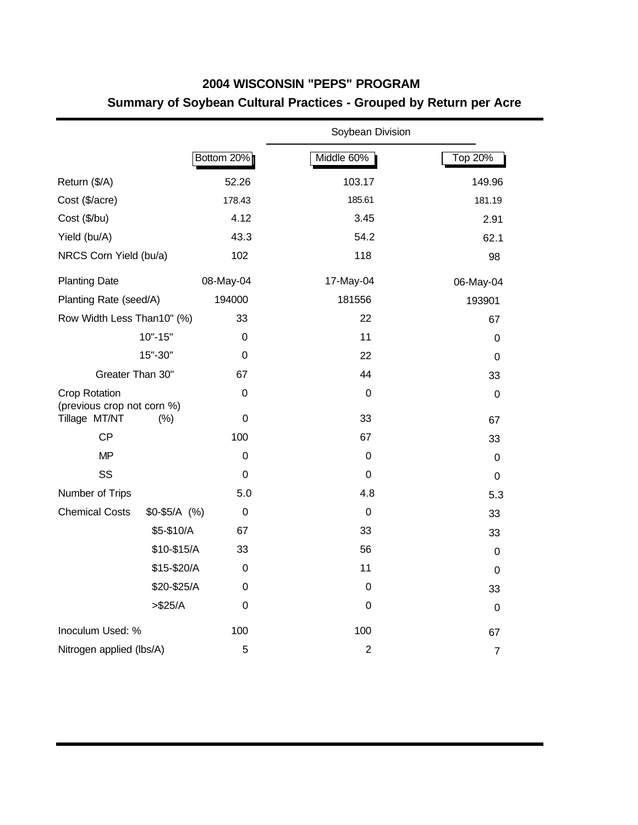## **2004 WISCONSIN "PEPS" PROGRAM Summary of Soybean Cultural Practices - Grouped by Return per Acre**

|                                             |               |                  | Soybean Division |                |
|---------------------------------------------|---------------|------------------|------------------|----------------|
|                                             |               | Bottom 20%       | Middle 60%       | <b>Top 20%</b> |
| Return (\$/A)                               |               | 52.26            | 103.17           | 149.96         |
| Cost (\$/acre)                              |               | 178.43           | 185.61           | 181.19         |
| Cost (\$/bu)                                |               | 4.12             | 3.45             | 2.91           |
| Yield (bu/A)                                |               | 43.3             | 54.2             | 62.1           |
| NRCS Corn Yield (bu/a)                      |               | 102              | 118              | 98             |
| <b>Planting Date</b>                        |               | 08-May-04        | 17-May-04        | 06-May-04      |
| Planting Rate (seed/A)                      |               | 194000           | 181556           | 193901         |
| Row Width Less Than10" (%)                  |               | 33               | 22               | 67             |
|                                             | $10" - 15"$   | $\Omega$         | 11               | 0              |
|                                             | 15"-30"       | 0                | 22               | $\mathbf 0$    |
| Greater Than 30"                            |               | 67               | 44               | 33             |
| Crop Rotation<br>(previous crop not corn %) |               | $\mathbf 0$      | $\Omega$         | 0              |
| Tillage MT/NT                               | $(\% )$       | 0                | 33               | 67             |
| <b>CP</b>                                   |               | 100              | 67               | 33             |
| <b>MP</b>                                   |               | $\mathbf 0$      | $\mathbf 0$      | $\mathbf 0$    |
| SS                                          |               | 0                | 0                | 0              |
| Number of Trips                             |               | 5.0              | 4.8              | 5.3            |
| <b>Chemical Costs</b>                       | $$0-$5/A$ (%) | 0                | $\Omega$         | 33             |
|                                             | \$5-\$10/A    | 67               | 33               | 33             |
|                                             | \$10-\$15/A   | 33               | 56               | $\mathbf 0$    |
|                                             | \$15-\$20/A   | 0                | 11               | $\mathbf 0$    |
|                                             | \$20-\$25/A   | 0                | 0                | 33             |
|                                             | > \$25/A      | $\boldsymbol{0}$ | 0                | $\mathbf 0$    |
| Inoculum Used: %                            |               | 100              | 100              | 67             |
| Nitrogen applied (lbs/A)                    |               | 5                | $\overline{2}$   | $\overline{7}$ |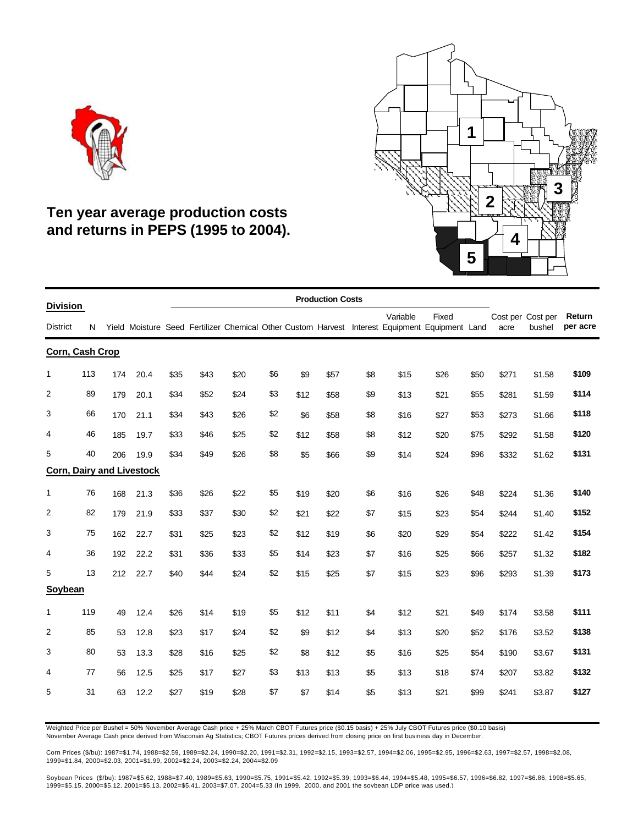



## **Ten year average production costs and returns in PEPS (1995 to 2004).**

| <b>Division</b> |     |     |                                  |      |      |      |     |      | <b>Production Costs</b> |     |          |                                                                                                         |      |       |                             |                    |
|-----------------|-----|-----|----------------------------------|------|------|------|-----|------|-------------------------|-----|----------|---------------------------------------------------------------------------------------------------------|------|-------|-----------------------------|--------------------|
| <b>District</b> | N   |     |                                  |      |      |      |     |      |                         |     | Variable | Fixed<br>Yield Moisture Seed Fertilizer Chemical Other Custom Harvest Interest Equipment Equipment Land |      | acre  | Cost per Cost per<br>bushel | Return<br>per acre |
| Corn, Cash Crop |     |     |                                  |      |      |      |     |      |                         |     |          |                                                                                                         |      |       |                             |                    |
| 1               | 113 | 174 | 20.4                             | \$35 | \$43 | \$20 | \$6 | \$9  | \$57                    | \$8 | \$15     | \$26                                                                                                    | \$50 | \$271 | \$1.58                      | \$109              |
| 2               | 89  | 179 | 20.1                             | \$34 | \$52 | \$24 | \$3 | \$12 | \$58                    | \$9 | \$13     | \$21                                                                                                    | \$55 | \$281 | \$1.59                      | \$114              |
| 3               | 66  | 170 | 21.1                             | \$34 | \$43 | \$26 | \$2 | \$6  | \$58                    | \$8 | \$16     | \$27                                                                                                    | \$53 | \$273 | \$1.66                      | \$118              |
| 4               | 46  | 185 | 19.7                             | \$33 | \$46 | \$25 | \$2 | \$12 | \$58                    | \$8 | \$12     | \$20                                                                                                    | \$75 | \$292 | \$1.58                      | \$120              |
| 5               | 40  | 206 | 19.9                             | \$34 | \$49 | \$26 | \$8 | \$5  | \$66                    | \$9 | \$14     | \$24                                                                                                    | \$96 | \$332 | \$1.62                      | \$131              |
|                 |     |     | <b>Corn, Dairy and Livestock</b> |      |      |      |     |      |                         |     |          |                                                                                                         |      |       |                             |                    |
| 1               | 76  | 168 | 21.3                             | \$36 | \$26 | \$22 | \$5 | \$19 | \$20                    | \$6 | \$16     | \$26                                                                                                    | \$48 | \$224 | \$1.36                      | \$140              |
| $\overline{2}$  | 82  | 179 | 21.9                             | \$33 | \$37 | \$30 | \$2 | \$21 | \$22                    | \$7 | \$15     | \$23                                                                                                    | \$54 | \$244 | \$1.40                      | \$152              |
| 3               | 75  | 162 | 22.7                             | \$31 | \$25 | \$23 | \$2 | \$12 | \$19                    | \$6 | \$20     | \$29                                                                                                    | \$54 | \$222 | \$1.42                      | \$154              |
| 4               | 36  | 192 | 22.2                             | \$31 | \$36 | \$33 | \$5 | \$14 | \$23                    | \$7 | \$16     | \$25                                                                                                    | \$66 | \$257 | \$1.32                      | \$182              |
| 5               | 13  | 212 | 22.7                             | \$40 | \$44 | \$24 | \$2 | \$15 | \$25                    | \$7 | \$15     | \$23                                                                                                    | \$96 | \$293 | \$1.39                      | \$173              |
| Soybean         |     |     |                                  |      |      |      |     |      |                         |     |          |                                                                                                         |      |       |                             |                    |
| 1               | 119 | 49  | 12.4                             | \$26 | \$14 | \$19 | \$5 | \$12 | \$11                    | \$4 | \$12     | \$21                                                                                                    | \$49 | \$174 | \$3.58                      | \$111              |
| 2               | 85  | 53  | 12.8                             | \$23 | \$17 | \$24 | \$2 | \$9  | \$12                    | \$4 | \$13     | \$20                                                                                                    | \$52 | \$176 | \$3.52                      | \$138              |
| 3               | 80  | 53  | 13.3                             | \$28 | \$16 | \$25 | \$2 | \$8  | \$12                    | \$5 | \$16     | \$25                                                                                                    | \$54 | \$190 | \$3.67                      | \$131              |
| 4               | 77  | 56  | 12.5                             | \$25 | \$17 | \$27 | \$3 | \$13 | \$13                    | \$5 | \$13     | \$18                                                                                                    | \$74 | \$207 | \$3.82                      | \$132              |
| 5               | 31  | 63  | 12.2                             | \$27 | \$19 | \$28 | \$7 | \$7  | \$14                    | \$5 | \$13     | \$21                                                                                                    | \$99 | \$241 | \$3.87                      | \$127              |

Weighted Price per Bushel = 50% November Average Cash price + 25% March CBOT Futures price (\$0.15 basis) + 25% July CBOT Futures price (\$0.10 basis) November Average Cash price derived from Wisconsin Ag Statistics; CBOT Futures prices derived from closing price on first business day in December.

Corn Prices (\$/bu): 1987=\$1.74, 1988=\$2.59, 1989=\$2.24, 1990=\$2.20, 1991=\$2.31, 1992=\$2.15, 1993=\$2.57, 1994=\$2.06, 1995=\$2.95, 1996=\$2.63, 1997=\$2.57, 1998=\$2.08, 1999=\$1.84, 2000=\$2.03, 2001=\$1.99, 2002=\$2.24, 2003=\$2.24, 2004=\$2.09

Soybean Prices (\$/bu): 1987=\$5.62, 1988=\$7.40, 1989=\$5.63, 1990=\$5.75, 1991=\$5.42, 1992=\$5.39, 1993=\$6.44, 1994=\$5.48, 1995=\$6.57, 1996=\$6.82, 1997=\$6.86, 1998=\$5.65, 1999=\$5.15, 2000=\$5.12, 2001=\$5.13, 2002=\$5.41, 2003=\$7.07, 2004=5.33 (In 1999, 2000, and 2001 the soybean LDP price was used.)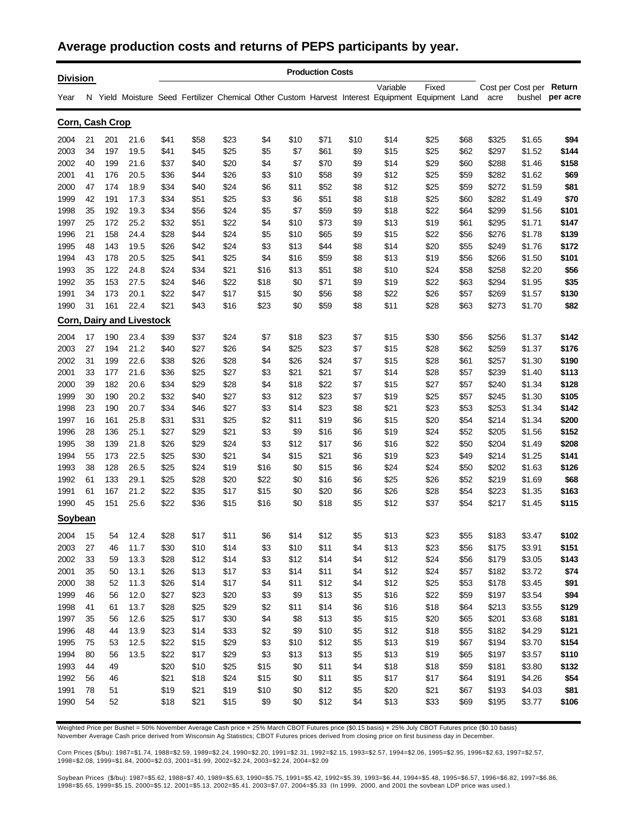#### **Average production costs and returns of PEPS participants by year.**

| <b>Division</b> |    |     |                                  |      |      |      |      |      | <b>Production Costs</b> |      |                                                                                                       |       |      |       |                   |          |
|-----------------|----|-----|----------------------------------|------|------|------|------|------|-------------------------|------|-------------------------------------------------------------------------------------------------------|-------|------|-------|-------------------|----------|
|                 |    |     |                                  |      |      |      |      |      |                         |      | Variable                                                                                              | Fixed |      |       | Cost per Cost per | Return   |
| Year            |    |     |                                  |      |      |      |      |      |                         |      | N Yield Moisture Seed Fertilizer Chemical Other Custom Harvest Interest Equipment Equipment Land acre |       |      |       | bushel            | per acre |
| Corn, Cash Crop |    |     |                                  |      |      |      |      |      |                         |      |                                                                                                       |       |      |       |                   |          |
| 2004            | 21 | 201 | 21.6                             | \$41 | \$58 | \$23 | \$4  | \$10 | \$71                    | \$10 | \$14                                                                                                  | \$25  | \$68 | \$325 | \$1.65            | \$94     |
| 2003            | 34 | 197 | 19.5                             | \$41 | \$45 | \$25 | \$5  | \$7  | \$61                    | \$9  | \$15                                                                                                  | \$25  | \$62 | \$297 | \$1.52            | \$144    |
| 2002            | 40 | 199 | 21.6                             | \$37 | \$40 | \$20 | \$4  | \$7  | \$70                    | \$9  | \$14                                                                                                  | \$29  | \$60 | \$288 | \$1.46            | \$158    |
| 2001            | 41 | 176 | 20.5                             | \$36 | \$44 | \$26 | \$3  | \$10 | \$58                    | \$9  | \$12                                                                                                  | \$25  | \$59 | \$282 | \$1.62            | \$69     |
| 2000            | 47 | 174 | 18.9                             | \$34 | \$40 | \$24 | \$6  | \$11 | \$52                    | \$8  | \$12                                                                                                  | \$25  | \$59 | \$272 | \$1.59            | \$81     |
| 1999            | 42 | 191 | 17.3                             | \$34 | \$51 | \$25 | \$3  | \$6  | \$51                    | \$8  | \$18                                                                                                  | \$25  | \$60 | \$282 | \$1.49            | \$70     |
| 1998            | 35 | 192 | 19.3                             | \$34 | \$56 | \$24 | \$5  | \$7  | \$59                    | \$9  | \$18                                                                                                  | \$22  | \$64 | \$299 | \$1.56            | \$101    |
| 1997            | 25 | 172 | 25.2                             | \$32 | \$51 | \$22 | \$4  | \$10 | \$73                    | \$9  | \$13                                                                                                  | \$19  | \$61 | \$295 | \$1.71            | \$147    |
| 1996            | 21 | 158 | 24.4                             | \$28 | \$44 | \$24 | \$5  | \$10 | \$65                    | \$9  | \$15                                                                                                  | \$22  | \$56 | \$276 | \$1.78            | \$139    |
| 1995            | 48 | 143 | 19.5                             | \$26 | \$42 | \$24 | \$3  | \$13 | \$44                    | \$8  | \$14                                                                                                  | \$20  | \$55 | \$249 | \$1.76            | \$172    |
| 1994            | 43 | 178 | 20.5                             | \$25 | \$41 | \$25 | \$4  | \$16 | \$59                    | \$8  | \$13                                                                                                  | \$19  | \$56 | \$266 | \$1.50            | \$101    |
| 1993            | 35 | 122 | 24.8                             | \$24 | \$34 | \$21 | \$16 | \$13 | \$51                    | \$8  | \$10                                                                                                  | \$24  | \$58 | \$258 | \$2.20            | \$56     |
| 1992            | 35 | 153 | 27.5                             | \$24 | \$46 | \$22 | \$18 | \$0  | \$71                    | \$9  | \$19                                                                                                  | \$22  | \$63 | \$294 | \$1.95            | \$35     |
| 1991            | 34 | 173 | 20.1                             | \$22 | \$47 | \$17 | \$15 | \$0  | \$56                    | \$8  | \$22                                                                                                  | \$26  | \$57 | \$269 | \$1.57            | \$130    |
| 1990            | 31 | 161 | 22.4                             | \$21 | \$43 | \$16 | \$23 | \$0  | \$59                    | \$8  | \$11                                                                                                  | \$28  | \$63 | \$273 | \$1.70            | \$82     |
|                 |    |     | <b>Corn, Dairy and Livestock</b> |      |      |      |      |      |                         |      |                                                                                                       |       |      |       |                   |          |
| 2004            | 17 | 190 | 23.4                             | \$39 | \$37 | \$24 | \$7  | \$18 | \$23                    | \$7  | \$15                                                                                                  | \$30  | \$56 | \$256 | \$1.37            | \$142    |
| 2003            | 27 | 194 | 21.2                             | \$40 | \$27 | \$26 | \$4  | \$25 | \$23                    | \$7  | \$15                                                                                                  | \$28  | \$62 | \$259 | \$1.37            | \$176    |
| 2002            | 31 | 199 | 22.6                             | \$38 | \$26 | \$28 | \$4  | \$26 | \$24                    | \$7  | \$15                                                                                                  | \$28  | \$61 | \$257 | \$1.30            | \$190    |
| 2001            | 33 | 177 | 21.6                             | \$36 | \$25 | \$27 | \$3  | \$21 | \$21                    | \$7  | \$14                                                                                                  | \$28  | \$57 | \$239 | \$1.40            | \$113    |
| 2000            | 39 | 182 | 20.6                             | \$34 | \$29 | \$28 | \$4  | \$18 | \$22                    | \$7  | \$15                                                                                                  | \$27  | \$57 | \$240 | \$1.34            | \$128    |
| 1999            | 30 | 190 | 20.2                             | \$32 | \$40 | \$27 | \$3  | \$12 | \$23                    | \$7  | \$19                                                                                                  | \$25  | \$57 | \$245 | \$1.30            | \$105    |
| 1998            | 23 | 190 | 20.7                             | \$34 | \$46 | \$27 | \$3  | \$14 | \$23                    | \$8  | \$21                                                                                                  | \$23  | \$53 | \$253 | \$1.34            | \$142    |
| 1997            | 16 | 161 | 25.8                             | \$31 | \$31 | \$25 | \$2  | \$11 | \$19                    | \$6  | \$15                                                                                                  | \$20  | \$54 | \$214 | \$1.34            | \$200    |
| 1996            | 28 | 136 | 25.1                             | \$27 | \$29 | \$21 | \$3  | \$9  | \$16                    | \$6  | \$19                                                                                                  | \$24  | \$52 | \$205 | \$1.56            | \$152    |
| 1995            | 38 | 139 | 21.8                             | \$26 | \$29 | \$24 | \$3  | \$12 | \$17                    | \$6  | \$16                                                                                                  | \$22  | \$50 | \$204 | \$1.49            | \$208    |
| 1994            | 55 | 173 | 22.5                             | \$25 | \$30 | \$21 | \$4  | \$15 | \$21                    | \$6  | \$19                                                                                                  | \$23  | \$49 | \$214 | \$1.25            | \$141    |
| 1993            | 38 | 128 | 26.5                             | \$25 | \$24 | \$19 | \$16 | \$0  | \$15                    | \$6  | \$24                                                                                                  | \$24  | \$50 | \$202 | \$1.63            | \$126    |
| 1992            | 61 | 133 | 29.1                             | \$25 | \$28 | \$20 | \$22 | \$0  | \$16                    | \$6  | \$25                                                                                                  | \$26  | \$52 | \$219 | \$1.69            | \$68     |
| 1991            | 61 | 167 | 21.2                             | \$22 | \$35 | \$17 | \$15 | \$0  | \$20                    | \$6  | \$26                                                                                                  | \$28  | \$54 | \$223 | \$1.35            | \$163    |
| 1990            | 45 | 151 | 25.6                             | \$22 | \$36 | \$15 | \$16 | \$0  | \$18                    | \$5  | \$12                                                                                                  | \$37  | \$54 | \$217 | \$1.45            | \$115    |
| Soybean         |    |     |                                  |      |      |      |      |      |                         |      |                                                                                                       |       |      |       |                   |          |
| 2004            | 15 | 54  | 12.4                             | \$28 | \$17 | \$11 | \$6  | \$14 | \$12                    | \$5  | \$13                                                                                                  | \$23  | \$55 | \$183 | \$3.47            | \$102    |
| 2003            | 27 | 46  | 11.7                             | \$30 | \$10 | \$14 | \$3  | \$10 | \$11                    | \$4  | \$13                                                                                                  | \$23  | \$56 | \$175 | \$3.91            | \$151    |
| 2002            | 33 | 59  | 13.3                             | \$28 | \$12 | \$14 | \$3  | \$12 | \$14                    | \$4  | \$12                                                                                                  | \$24  | \$56 | \$179 | \$3.05            | \$143    |
| 2001            | 35 | 50  | 13.1                             | \$26 | \$13 | \$17 | \$3  | \$14 | \$11                    | \$4  | \$12                                                                                                  | \$24  | \$57 | \$182 | \$3.72            | \$74     |
| 2000            | 38 | 52  | 11.3                             | \$26 | \$14 | \$17 | \$4  | \$11 | \$12                    | \$4  | \$12                                                                                                  | \$25  | \$53 | \$178 | \$3.45            | \$91     |
| 1999            | 46 | 56  | 12.0                             | \$27 | \$23 | \$20 | \$3  | \$9  | \$13                    | \$5  | \$16                                                                                                  | \$22  | \$59 | \$197 | \$3.54            | \$94     |
|                 |    |     |                                  |      |      |      |      |      |                         |      |                                                                                                       |       |      |       |                   |          |
| 1998            | 41 | 61  | 13.7                             | \$28 | \$25 | \$29 | \$2  | \$11 | \$14                    | \$6  | \$16                                                                                                  | \$18  | \$64 | \$213 | \$3.55            | \$129    |
| 1997            | 35 | 56  | 12.6                             | \$25 | \$17 | \$30 | \$4  | \$8  | \$13                    | \$5  | \$15                                                                                                  | \$20  | \$65 | \$201 | \$3.68            | \$181    |
| 1996            | 48 | 44  | 13.9                             | \$23 | \$14 | \$33 | \$2  | \$9  | \$10                    | \$5  | \$12                                                                                                  | \$18  | \$55 | \$182 | \$4.29            | \$121    |
| 1995            | 75 | 53  | 12.5                             | \$22 | \$15 | \$29 | \$3  | \$10 | \$12                    | \$5  | \$13                                                                                                  | \$19  | \$67 | \$194 | \$3.70            | \$154    |
| 1994            | 80 | 56  | 13.5                             | \$22 | \$17 | \$29 | \$3  | \$13 | \$13                    | \$5  | \$13                                                                                                  | \$19  | \$65 | \$197 | \$3.57            | \$110    |
| 1993            | 44 | 49  |                                  | \$20 | \$10 | \$25 | \$15 | \$0  | \$11                    | \$4  | \$18                                                                                                  | \$18  | \$59 | \$181 | \$3.80            | \$132    |
| 1992            | 56 | 46  |                                  | \$21 | \$18 | \$24 | \$15 | \$0  | \$11                    | \$5  | \$17                                                                                                  | \$17  | \$64 | \$191 | \$4.26            | \$54     |
| 1991            | 78 | 51  |                                  | \$19 | \$21 | \$19 | \$10 | \$0  | \$12                    | \$5  | \$20                                                                                                  | \$21  | \$67 | \$193 | \$4.03            | \$81     |
| 1990            | 54 | 52  |                                  | \$18 | \$21 | \$15 | \$9  | \$0  | \$12                    | \$4  | \$13                                                                                                  | \$33  | \$69 | \$195 | \$3.77            | \$106    |

Weighted Price per Bushel = 50% November Average Cash price + 25% March CBOT Futures price (\$0.15 basis) + 25% July CBOT Futures price (\$0.10 basis) November Average Cash price derived from Wisconsin Ag Statistics; CBOT Futures prices derived from closing price on first business day in December.

Corn Prices (\$/bu): 1987=\$1.74, 1988=\$2.59, 1989=\$2.24, 1990=\$2.20, 1991=\$2.31, 1992=\$2.15, 1993=\$2.57, 1994=\$2.06, 1995=\$2.95, 1996=\$2.63, 1997=\$2.57, 1998=\$2.08, 1999=\$1.84, 2000=\$2.03, 2001=\$1.99, 2002=\$2.24, 2003=\$2.24, 2004=\$2.09

Soybean Prices (\$/bu): 1987=\$5.62, 1988=\$7.40, 1989=\$5.63, 1990=\$5.75, 1991=\$5.42, 1992=\$5.39, 1993=\$6.44, 1994=\$5.48, 1995=\$6.57, 1996=\$6.82, 1997=\$6.86, 1998=\$5.65, 1999=\$5.15, 2000=\$5.12, 2001=\$5.13, 2002=\$5.41, 2003=\$7.07, 2004=\$5.33 (In 1999, 2000, and 2001 the soybean LDP price was used.)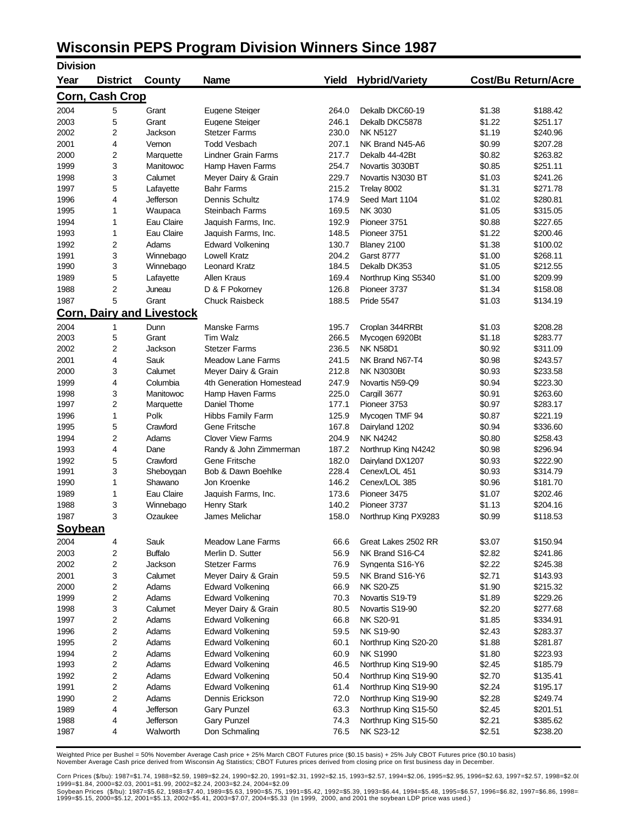## **Wisconsin PEPS Program Division Winners Since 1987**

| <b>Division</b>        |                 |                                  |                                                    |                |                                        |                  |                            |
|------------------------|-----------------|----------------------------------|----------------------------------------------------|----------------|----------------------------------------|------------------|----------------------------|
| Year                   | <b>District</b> | County                           | <b>Name</b>                                        | Yield          | <b>Hybrid/Variety</b>                  |                  | <b>Cost/Bu Return/Acre</b> |
| <b>Corn, Cash Crop</b> |                 |                                  |                                                    |                |                                        |                  |                            |
| 2004                   | 5               | Grant                            | Eugene Steiger                                     | 264.0          | Dekalb DKC60-19                        | \$1.38           | \$188.42                   |
| 2003                   | 5               | Grant                            | Eugene Steiger                                     | 246.1          | Dekalb DKC5878                         | \$1.22           | \$251.17                   |
| 2002                   | 2               | Jackson                          | <b>Stetzer Farms</b>                               | 230.0          | <b>NK N5127</b>                        | \$1.19           | \$240.96                   |
| 2001                   | 4               | Vernon                           | <b>Todd Vesbach</b>                                | 207.1          | NK Brand N45-A6                        | \$0.99           | \$207.28                   |
| 2000                   | 2               | Marquette                        | <b>Lindner Grain Farms</b>                         | 217.7          | Dekalb 44-42Bt                         | \$0.82           | \$263.82                   |
| 1999                   | 3               | Manitowoc                        | Hamp Haven Farms                                   | 254.7          | Novartis 3030BT                        | \$0.85           | \$251.11                   |
| 1998                   | 3               | Calumet                          | Meyer Dairy & Grain                                | 229.7          | Novartis N3030 BT                      | \$1.03           | \$241.26                   |
| 1997                   | 5               | Lafayette                        | <b>Bahr Farms</b>                                  | 215.2          | Trelay 8002                            | \$1.31           | \$271.78                   |
| 1996                   | 4               | Jefferson                        | Dennis Schultz                                     | 174.9          | Seed Mart 1104                         | \$1.02           | \$280.81                   |
| 1995                   | 1               | Waupaca                          | Steinbach Farms                                    | 169.5          | NK 3030                                | \$1.05           | \$315.05                   |
| 1994                   | 1               | Eau Claire                       | Jaquish Farms, Inc.                                | 192.9          | Pioneer 3751                           | \$0.88           | \$227.65                   |
| 1993                   | 1               | Eau Claire                       | Jaquish Farms, Inc.                                | 148.5          | Pioneer 3751                           | \$1.22           | \$200.46                   |
| 1992                   | 2               | Adams                            | <b>Edward Volkening</b>                            | 130.7          | Blaney 2100                            | \$1.38           | \$100.02                   |
| 1991                   | 3               | Winnebago                        | Lowell Kratz                                       | 204.2          | <b>Garst 8777</b>                      | \$1.00           | \$268.11                   |
| 1990                   | 3               | Winnebago                        | <b>Leonard Kratz</b>                               | 184.5          | Dekalb DK353                           | \$1.05           | \$212.55                   |
| 1989                   | 5               | Lafayette                        | Allen Kraus                                        | 169.4          | Northrup King S5340                    | \$1.00           | \$209.99                   |
| 1988                   | 2               | Juneau                           | D & F Pokorney                                     | 126.8          | Pioneer 3737                           | \$1.34           | \$158.08                   |
| 1987                   | 5               | Grant                            | <b>Chuck Raisbeck</b>                              | 188.5          | <b>Pride 5547</b>                      | \$1.03           | \$134.19                   |
|                        |                 | <b>Corn, Dairy and Livestock</b> |                                                    |                |                                        |                  |                            |
| 2004                   | 1               | Dunn                             | <b>Manske Farms</b>                                | 195.7          | Croplan 344RRBt                        | \$1.03           | \$208.28                   |
| 2003                   | 5               | Grant                            | Tim Walz                                           | 266.5          | Mycogen 6920Bt                         | \$1.18           | \$283.77                   |
| 2002                   | 2               | Jackson                          | <b>Stetzer Farms</b>                               | 236.5          | <b>NK N58D1</b>                        | \$0.92           | \$311.09                   |
| 2001                   | 4               | Sauk                             | <b>Meadow Lane Farms</b>                           | 241.5          | NK Brand N67-T4                        | \$0.98           | \$243.57                   |
| 2000                   | 3               | Calumet                          | Meyer Dairy & Grain                                | 212.8          | <b>NK N3030Bt</b>                      | \$0.93           | \$233.58                   |
| 1999                   | 4               | Columbia                         | 4th Generation Homestead                           | 247.9          | Novartis N59-Q9                        | \$0.94           | \$223.30                   |
| 1998                   | 3               | Manitowoc                        | Hamp Haven Farms                                   | 225.0          | Cargill 3677                           | \$0.91           | \$263.60                   |
| 1997                   | 2               | Marquette                        | Daniel Thome                                       | 177.1          | Pioneer 3753                           | \$0.97           | \$283.17                   |
| 1996                   | 1               | Polk                             | <b>Hibbs Family Farm</b>                           | 125.9          | Mycogen TMF 94                         | \$0.87           | \$221.19                   |
| 1995                   | 5               | Crawford                         | Gene Fritsche                                      | 167.8          | Dairyland 1202                         | \$0.94           | \$336.60                   |
| 1994<br>1993           | 2<br>4          | Adams<br>Dane                    | <b>Clover View Farms</b><br>Randy & John Zimmerman | 204.9<br>187.2 | <b>NK N4242</b><br>Northrup King N4242 | \$0.80<br>\$0.98 | \$258.43<br>\$296.94       |
| 1992                   | 5               | Crawford                         | Gene Fritsche                                      | 182.0          | Dairyland DX1207                       | \$0.93           | \$222.90                   |
| 1991                   | 3               | Sheboygan                        | Bob & Dawn Boehlke                                 | 228.4          | Cenex/LOL 451                          | \$0.93           | \$314.79                   |
| 1990                   | 1               | Shawano                          | Jon Kroenke                                        | 146.2          | Cenex/LOL 385                          | \$0.96           | \$181.70                   |
| 1989                   | 1               | Eau Claire                       | Jaquish Farms, Inc.                                | 173.6          | Pioneer 3475                           | \$1.07           | \$202.46                   |
| 1988                   | 3               | Winnebago                        | <b>Henry Stark</b>                                 | 140.2          | Pioneer 3737                           | \$1.13           | \$204.16                   |
| 1987                   | 3               | Ozaukee                          | James Melichar                                     | 158.0          | Northrup King PX9283                   | \$0.99           | \$118.53                   |
| <b>Soybean</b>         |                 |                                  |                                                    |                |                                        |                  |                            |
| 2004                   | 4               | Sauk                             | <b>Meadow Lane Farms</b>                           | 66.6           | Great Lakes 2502 RR                    | \$3.07           | \$150.94                   |
| 2003                   | 2               | <b>Buffalo</b>                   | Merlin D. Sutter                                   | 56.9           | NK Brand S16-C4                        | \$2.82           | \$241.86                   |
| 2002                   | 2               | Jackson                          | <b>Stetzer Farms</b>                               | 76.9           | Syngenta S16-Y6                        | \$2.22           | \$245.38                   |
| 2001                   | 3               | Calumet                          | Meyer Dairy & Grain                                | 59.5           | NK Brand S16-Y6                        | \$2.71           | \$143.93                   |
| 2000                   | 2               | Adams                            | <b>Edward Volkening</b>                            | 66.9           | <b>NK S20-Z5</b>                       | \$1.90           | \$215.32                   |
| 1999                   | 2               | Adams                            | Edward Volkening                                   | 70.3           | Novartis S19-T9                        | \$1.89           | \$229.26                   |
| 1998                   | 3               | Calumet                          | Meyer Dairy & Grain                                | 80.5           | Novartis S19-90                        | \$2.20           | \$277.68                   |
| 1997                   | 2               | Adams                            | <b>Edward Volkening</b>                            | 66.8           | NK S20-91                              | \$1.85           | \$334.91                   |
| 1996                   | 2               | Adams                            | <b>Edward Volkening</b>                            | 59.5           | <b>NK S19-90</b>                       | \$2.43           | \$283.37                   |
| 1995                   | 2               | Adams                            | <b>Edward Volkening</b>                            | 60.1           | Northrup King S20-20                   | \$1.88           | \$281.87                   |
| 1994                   | 2               | Adams                            | Edward Volkening                                   | 60.9           | <b>NK S1990</b>                        | \$1.80           | \$223.93                   |
| 1993                   | 2               | Adams                            | <b>Edward Volkening</b>                            | 46.5           | Northrup King S19-90                   | \$2.45           | \$185.79                   |
| 1992                   | 2               | Adams                            | Edward Volkening                                   | 50.4           | Northrup King S19-90                   | \$2.70           | \$135.41                   |
| 1991                   | 2               | Adams                            | <b>Edward Volkening</b>                            | 61.4           | Northrup King S19-90                   | \$2.24           | \$195.17                   |
| 1990                   | 2               | Adams                            | Dennis Erickson                                    | 72.0           | Northrup King S19-90                   | \$2.28           | \$249.74                   |
| 1989                   | 4               | Jefferson                        | <b>Gary Punzel</b>                                 | 63.3           | Northrup King S15-50                   | \$2.45           | \$201.51                   |
| 1988                   | 4               | Jefferson                        | <b>Gary Punzel</b>                                 | 74.3           | Northrup King S15-50                   | \$2.21           | \$385.62                   |
| 1987                   | 4               | Walworth                         | Don Schmaling                                      | 76.5           | NK S23-12                              | \$2.51           | \$238.20                   |

Weighted Price per Bushel = 50% November Average Cash price + 25% March CBOT Futures price (\$0.15 basis) + 25% July CBOT Futures price (\$0.10 basis)<br>November Average Cash price derived from Wisconsin Ag Statistics; CBOT Fu

Corn Prices (\$/bu): 1987=\$1.74, 1988=\$2.59, 1989=\$2.24, 1990=\$2.20, 1991=\$2.31, 1992=\$2.15, 1993=\$2.57, 1994=\$2.06, 1995=\$2.95, 1996=\$2.63, 1997=\$2.57, 1998=\$2.0≀<br>1999=\$1.84, 2000=\$2.03, 2001=\$1.99, 2002=\$2.24, 2003=\$2.24,

Soybean Prices(\$/bu): 1987=\$5.62, 1988=\$7.40, 1989=\$5.63, 1990=\$5.75, 1991=\$5.42, 1992=\$5.39, 1993=\$6.44, 1994=\$5.48, 1995=\$6.57, 1996=\$6.82, 1997=\$6.86, 1998=<br>1999=\$5.15, 2000=\$5.12, 2001=\$5.13, 2002=\$5.41, 2003=\$7.07, 20